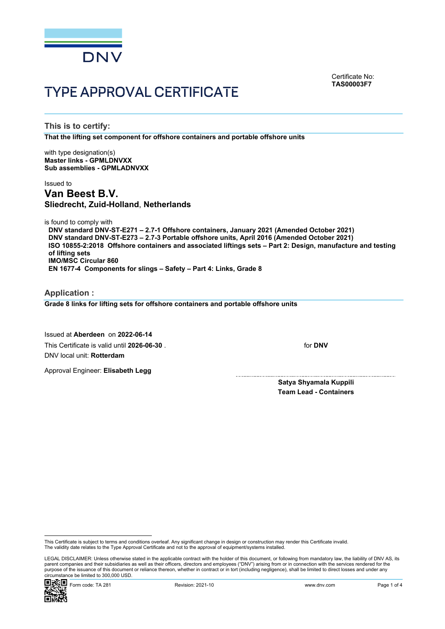

Certificate No: **TAS00003F7**

# TYPE APPROVAL CERTIFICATE

**This is to certify:**

**That the lifting set component for offshore containers and portable offshore units**

with type designation(s) **Master links - GPMLDNVXX Sub assemblies - GPMLADNVXX**

# Issued to **Van Beest B.V. Sliedrecht, Zuid-Holland**, **Netherlands**

is found to comply with

**DNV standard DNV-ST-E271 – 2.7-1 Offshore containers, January 2021 (Amended October 2021) DNV standard DNV-ST-E273 – 2.7-3 Portable offshore units, April 2016 (Amended October 2021) ISO 10855-2:2018 Offshore containers and associated liftings sets – Part 2: Design, manufacture and testing of lifting sets IMO/MSC Circular 860**

**EN 1677-4 Components for slings – Safety – Part 4: Links, Grade 8**

**Application : Grade 8 links for lifting sets for offshore containers and portable offshore units**

Issued at **Aberdeen** on **2022-06-14** This Certificate is valid until **2026-06-30** . DNV local unit: **Rotterdam**

Approval Engineer: **Elisabeth Legg**

for **DNV**

**Satya Shyamala Kuppili Team Lead - Containers**

 LEGAL DISCLAIMER: Unless otherwise stated in the applicable contract with the holder of this document, or following from mandatory law, the liability of DNV AS, its parent companies and their subsidiaries as well as their officers, directors and employees ("DNV") arising from or in connection with the services rendered for the purpose of the issuance of this document or reliance thereon, whether in contract or in tort (including negligence), shall be limited to direct losses and under any circumstance be limited to 300,000 USD.



This Certificate is subject to terms and conditions overleaf. Any significant change in design or construction may render this Certificate invalid.<br>The validity date relates to the Type Approval Certificate and not to the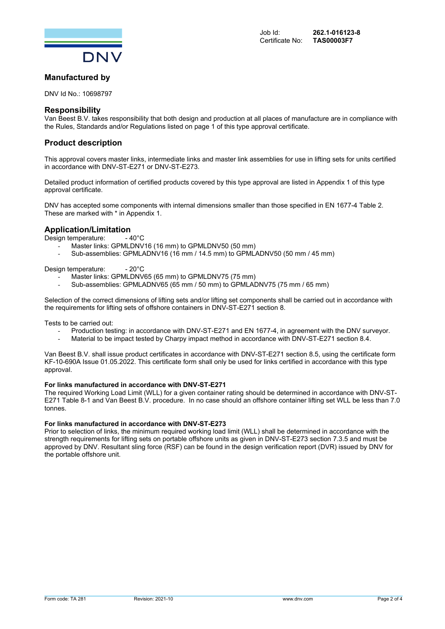

# **Manufactured by**

DNV Id No.: 10698797

### **Responsibility**

Van Beest B.V. takes responsibility that both design and production at all places of manufacture are in compliance with the Rules, Standards and/or Regulations listed on page 1 of this type approval certificate.

# **Product description**

This approval covers master links, intermediate links and master link assemblies for use in lifting sets for units certified in accordance with DNV-ST-E271 or DNV-ST-E273.

Detailed product information of certified products covered by this type approval are listed in Appendix 1 of this type approval certificate.

DNV has accepted some components with internal dimensions smaller than those specified in EN 1677-4 Table 2. These are marked with \* in Appendix 1.

# **Application/Limitation**<br>Design temperature: 40°C

Design temperature:

- Master links: GPMLDNV16 (16 mm) to GPMLDNV50 (50 mm)
- Sub-assemblies: GPMLADNV16 (16 mm / 14.5 mm) to GPMLADNV50 (50 mm / 45 mm)

Design temperature: - 20°C

- Master links: GPMLDNV65 (65 mm) to GPMLDNV75 (75 mm)
- Sub-assemblies: GPMLADNV65 (65 mm / 50 mm) to GPMLADNV75 (75 mm / 65 mm)

Selection of the correct dimensions of lifting sets and/or lifting set components shall be carried out in accordance with the requirements for lifting sets of offshore containers in DNV-ST-E271 section 8.

Tests to be carried out:

- Production testing: in accordance with DNV-ST-E271 and EN 1677-4, in agreement with the DNV surveyor.
- Material to be impact tested by Charpy impact method in accordance with DNV-ST-E271 section 8.4.

Van Beest B.V. shall issue product certificates in accordance with DNV-ST-E271 section 8.5, using the certificate form KF-10-690A Issue 01.05.2022. This certificate form shall only be used for links certified in accordance with this type approval.

#### **For links manufactured in accordance with DNV-ST-E271**

The required Working Load Limit (WLL) for a given container rating should be determined in accordance with DNV-ST-E271 Table 8-1 and Van Beest B.V. procedure. In no case should an offshore container lifting set WLL be less than 7.0 tonnes.

#### **For links manufactured in accordance with DNV-ST-E273**

Prior to selection of links, the minimum required working load limit (WLL) shall be determined in accordance with the strength requirements for lifting sets on portable offshore units as given in DNV-ST-E273 section 7.3.5 and must be approved by DNV. Resultant sling force (RSF) can be found in the design verification report (DVR) issued by DNV for the portable offshore unit.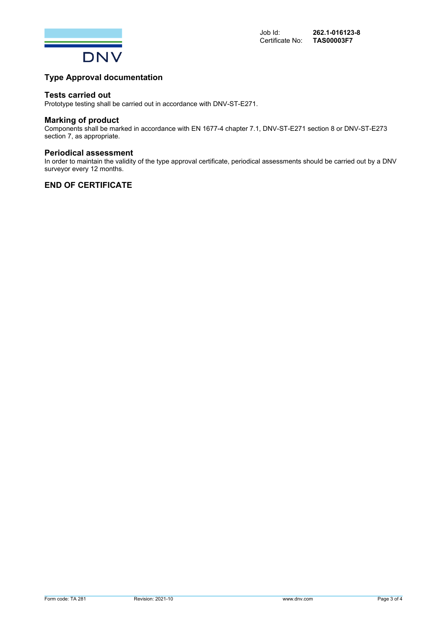

# **Type Approval documentation**

#### **Tests carried out**

Prototype testing shall be carried out in accordance with DNV-ST-E271.

#### **Marking of product**

Components shall be marked in accordance with EN 1677-4 chapter 7.1, DNV-ST-E271 section 8 or DNV-ST-E273 section 7, as appropriate.

#### **Periodical assessment**

In order to maintain the validity of the type approval certificate, periodical assessments should be carried out by a DNV surveyor every 12 months.

# **END OF CERTIFICATE**